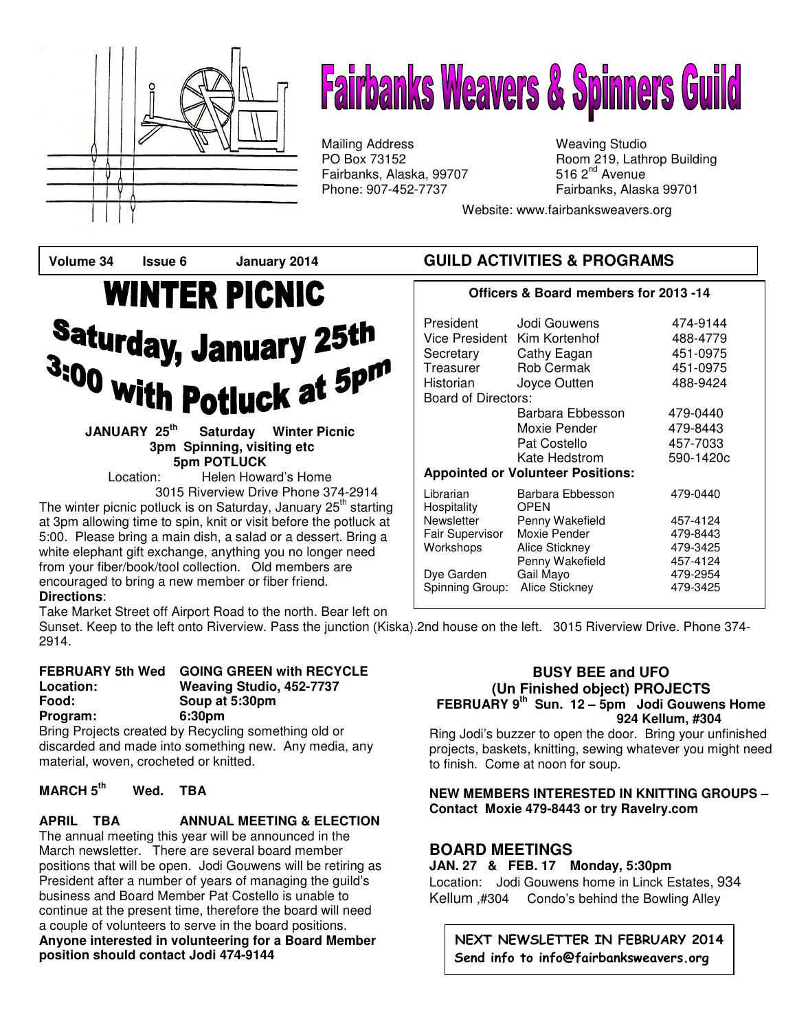

# **Fairbanks Weavers & Spinners Guild**

Mailing Address Mailing Studio<br>
PO Box 73152 May 19, Lath Fairbanks, Alaska, 99707 Phone: 907-452-7737 Fairbanks, Alaska 99701

Room 219, Lathrop Building<br>516  $2<sup>nd</sup>$  Avenue

Website: www.fairbanksweavers.org

# **WINTER PICNIC Saturday, January 25th**  $3:00$  with Potluck at  $5^{pm}$

**JANUARY 25th Saturday Winter Picnic 3pm Spinning, visiting etc 5pm POTLUCK** 

Location: Helen Howard's Home 3015 Riverview Drive Phone 374-2914

The winter picnic potluck is on Saturday, January 25<sup>th</sup> starting at 3pm allowing time to spin, knit or visit before the potluck at 5:00. Please bring a main dish, a salad or a dessert. Bring a white elephant gift exchange, anything you no longer need from your fiber/book/tool collection. Old members are encouraged to bring a new member or fiber friend. **Directions**:

#### Take Market Street off Airport Road to the north. Bear left on

Sunset. Keep to the left onto Riverview. Pass the junction (Kiska).2nd house on the left. 3015 Riverview Drive. Phone 374- 2914.

#### **FEBRUARY 5th Wed GOING GREEN with RECYCLE Location: Weaving Studio, 452-7737 Food: Soup at 5:30pm Program: 6:30pm**

Bring Projects created by Recycling something old or discarded and made into something new. Any media, any material, woven, crocheted or knitted.

### **MARCH 5th Wed. TBA**

**APRIL TBA ANNUAL MEETING & ELECTION**  The annual meeting this year will be announced in the March newsletter. There are several board member

positions that will be open. Jodi Gouwens will be retiring as President after a number of years of managing the guild's business and Board Member Pat Costello is unable to continue at the present time, therefore the board will need a couple of volunteers to serve in the board positions. **Anyone interested in volunteering for a Board Member position should contact Jodi 474-9144** 

# **Volume 34 Issue 6 January 2014 GUILD ACTIVITIES & PROGRAMS**

#### **Officers & Board members for 2013 -14**

| President<br>Vice President<br>Secretary<br>Treasurer<br>Historian<br>Board of Directors: | Jodi Gouwens<br>Kim Kortenhof<br>Cathy Eagan<br>Rob Cermak<br>Joyce Outten | 474-9144<br>488-4779<br>451-0975<br>451-0975<br>488-9424 |
|-------------------------------------------------------------------------------------------|----------------------------------------------------------------------------|----------------------------------------------------------|
|                                                                                           | Barbara Ebbesson                                                           | 479-0440                                                 |
|                                                                                           | Moxie Pender                                                               | 479-8443                                                 |
|                                                                                           | Pat Costello                                                               | 457-7033                                                 |
|                                                                                           | Kate Hedstrom                                                              | 590-1420c                                                |
| <b>Appointed or Volunteer Positions:</b>                                                  |                                                                            |                                                          |
| Librarian<br>Hospitality                                                                  | Barbara Ebbesson<br><b>OPEN</b>                                            | 479-0440                                                 |
| Newsletter                                                                                | Penny Wakefield                                                            | 457-4124                                                 |
| Fair Supervisor                                                                           | Moxie Pender                                                               | 479-8443                                                 |
| Workshops                                                                                 | Alice Stickney                                                             | 479-3425                                                 |
|                                                                                           | Penny Wakefield                                                            | 457-4124                                                 |
| Dye Garden                                                                                | Gail Mayo                                                                  | 479-2954                                                 |
| Spinning Group:                                                                           | Alice Stickney                                                             | 479-3425                                                 |

#### **BUSY BEE and UFO (Un Finished object) PROJECTS FEBRUARY 9th Sun. 12 – 5pm Jodi Gouwens Home 924 Kellum, #304**

Ring Jodi's buzzer to open the door. Bring your unfinished projects, baskets, knitting, sewing whatever you might need to finish. Come at noon for soup.

#### **NEW MEMBERS INTERESTED IN KNITTING GROUPS – Contact Moxie 479-8443 or try Ravelry.com**

## **BOARD MEETINGS**

**JAN. 27 & FEB. 17 Monday, 5:30pm**  Location: Jodi Gouwens home in Linck Estates, 934 Kellum ,#304 Condo's behind the Bowling Alley

NEXT NEWSLETTER IN FEBRUARY 2014 Send info to info@fairbanksweavers.org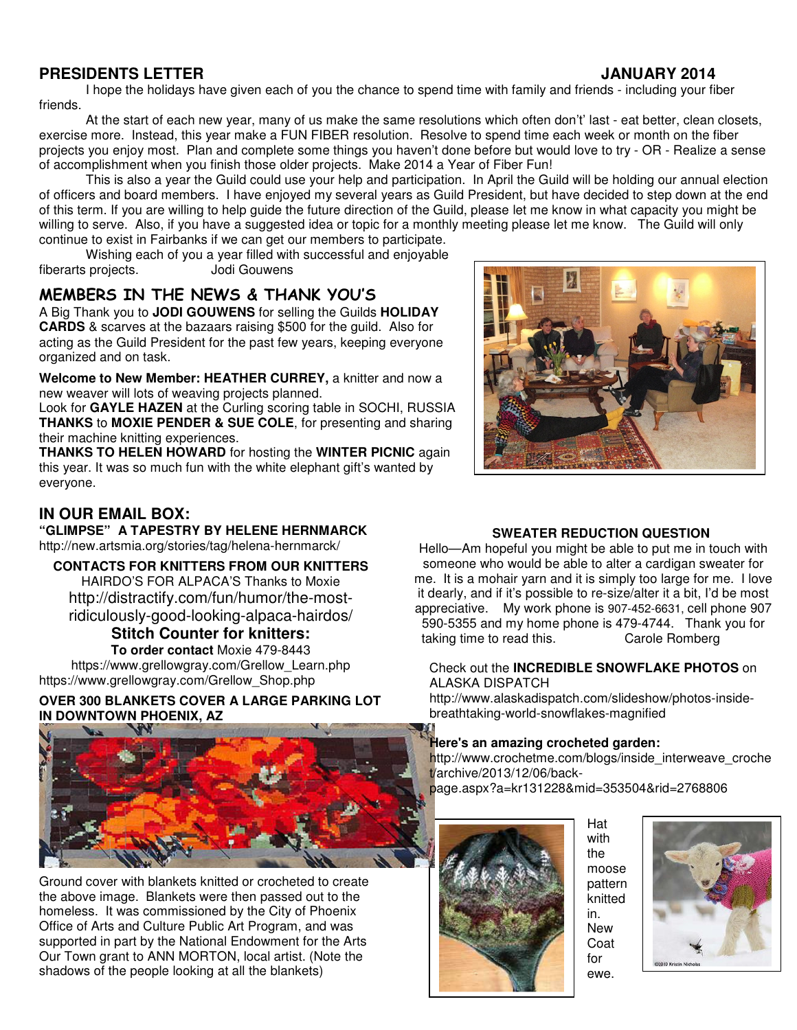## **PRESIDENTS LETTER JANUARY 2014**

 I hope the holidays have given each of you the chance to spend time with family and friends - including your fiber friends.

 At the start of each new year, many of us make the same resolutions which often don't' last - eat better, clean closets, exercise more. Instead, this year make a FUN FIBER resolution. Resolve to spend time each week or month on the fiber projects you enjoy most. Plan and complete some things you haven't done before but would love to try - OR - Realize a sense of accomplishment when you finish those older projects. Make 2014 a Year of Fiber Fun!

 This is also a year the Guild could use your help and participation. In April the Guild will be holding our annual election of officers and board members. I have enjoyed my several years as Guild President, but have decided to step down at the end of this term. If you are willing to help guide the future direction of the Guild, please let me know in what capacity you might be willing to serve. Also, if you have a suggested idea or topic for a monthly meeting please let me know. The Guild will only continue to exist in Fairbanks if we can get our members to participate.

Wishing each of you a year filled with successful and enjoyable<br>projects. Undi Gouwens fiberarts projects.

# MEMBERS IN THE NEWS & THANK YOU'S

A Big Thank you to **JODI GOUWENS** for selling the Guilds **HOLIDAY CARDS** & scarves at the bazaars raising \$500 for the guild. Also for acting as the Guild President for the past few years, keeping everyone organized and on task.

**Welcome to New Member: HEATHER CURREY,** a knitter and now a new weaver will lots of weaving projects planned.

Look for **GAYLE HAZEN** at the Curling scoring table in SOCHI, RUSSIA **THANKS** to **MOXIE PENDER & SUE COLE**, for presenting and sharing their machine knitting experiences.

**THANKS TO HELEN HOWARD** for hosting the **WINTER PICNIC** again this year. It was so much fun with the white elephant gift's wanted by everyone.

#### **IN OUR EMAIL BOX: "GLIMPSE" A TAPESTRY BY HELENE HERNMARCK**

http://new.artsmia.org/stories/tag/helena-hernmarck/

**CONTACTS FOR KNITTERS FROM OUR KNITTERS** HAIRDO'S FOR ALPACA'S Thanks to Moxie http://distractify.com/fun/humor/the-mostridiculously-good-looking-alpaca-hairdos/ **Stitch Counter for knitters:** 

**To order contact** Moxie 479-8443

https://www.grellowgray.com/Grellow\_Learn.php https://www.grellowgray.com/Grellow\_Shop.php

#### **OVER 300 BLANKETS COVER A LARGE PARKING LOT IN DOWNTOWN PHOENIX, AZ**



Ground cover with blankets knitted or crocheted to create the above image. Blankets were then passed out to the homeless. It was commissioned by the City of Phoenix Office of Arts and Culture Public Art Program, and was supported in part by the National Endowment for the Arts Our Town grant to ANN MORTON, local artist. (Note the shadows of the people looking at all the blankets)



#### **SWEATER REDUCTION QUESTION**

Hello—Am hopeful you might be able to put me in touch with someone who would be able to alter a cardigan sweater for me. It is a mohair yarn and it is simply too large for me. I love it dearly, and if it's possible to re-size/alter it a bit, I'd be most appreciative. My work phone is 907-452-6631, cell phone 907 590-5355 and my home phone is 479-4744. Thank you for taking time to read this. Carole Romberg

Check out the **INCREDIBLE SNOWFLAKE PHOTOS** on ALASKA DISPATCH

http://www.alaskadispatch.com/slideshow/photos-insidebreathtaking-world-snowflakes-magnified

#### **Here's an amazing crocheted garden:**

http://www.crochetme.com/blogs/inside\_interweave\_croche t/archive/2013/12/06/backpage.aspx?a=kr131228&mid=353504&rid=2768806

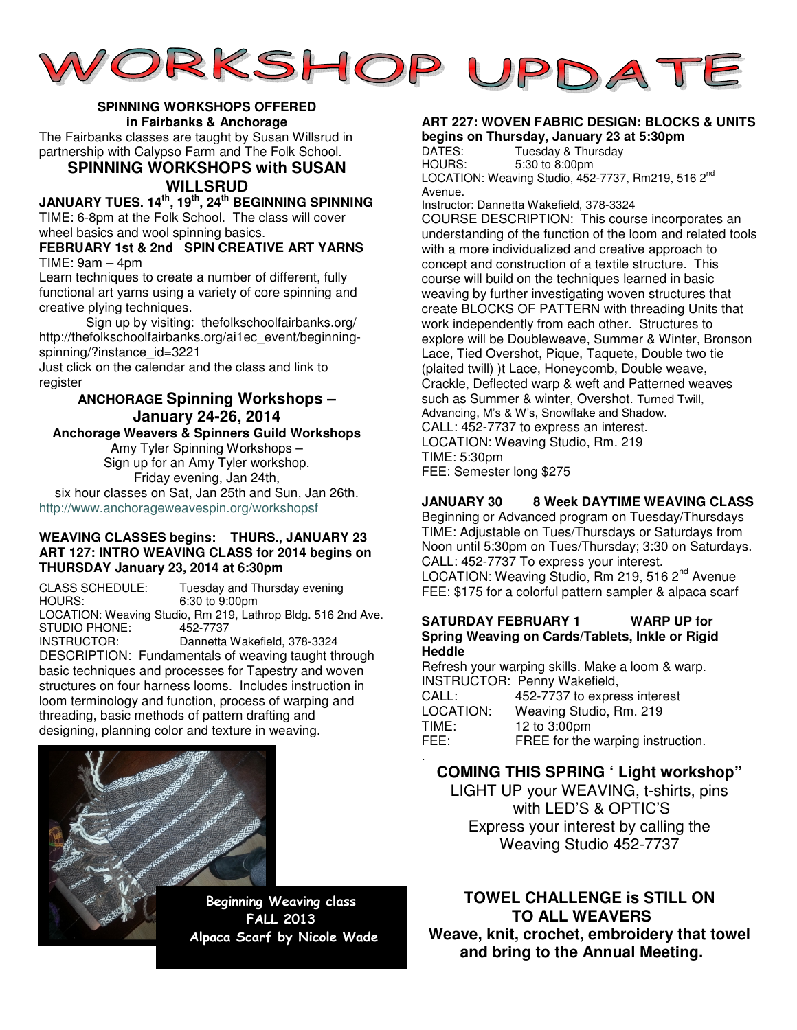

#### **SPINNING WORKSHOPS OFFERED in Fairbanks & Anchorage**

The Fairbanks classes are taught by Susan Willsrud in partnership with Calypso Farm and The Folk School.

#### **SPINNING WORKSHOPS with SUSAN WILLSRUD**

**JANUARY TUES. 14th, 19th, 24th BEGINNING SPINNING**  TIME: 6-8pm at the Folk School. The class will cover wheel basics and wool spinning basics.

#### **FEBRUARY 1st & 2nd SPIN CREATIVE ART YARNS**  $TIME: 9am - 4pm$

Learn techniques to create a number of different, fully functional art yarns using a variety of core spinning and creative plying techniques.

 Sign up by visiting: thefolkschoolfairbanks.org/ http://thefolkschoolfairbanks.org/ai1ec\_event/beginningspinning/?instance\_id=3221

Just click on the calendar and the class and link to register

#### **ANCHORAGE Spinning Workshops – January 24-26, 2014**

#### **Anchorage Weavers & Spinners Guild Workshops**

Amy Tyler Spinning Workshops – Sign up for an Amy Tyler workshop. Friday evening, Jan 24th, six hour classes on Sat, Jan 25th and Sun, Jan 26th.

http://www.anchorageweavespin.org/workshopsf

#### **WEAVING CLASSES begins: THURS., JANUARY 23 ART 127: INTRO WEAVING CLASS for 2014 begins on THURSDAY January 23, 2014 at 6:30pm**

CLASS SCHEDULE: Tuesday and Thursday evening<br>HOURS: 6:30 to 9:00pm 6:30 to 9:00pm LOCATION: Weaving Studio, Rm 219, Lathrop Bldg. 516 2nd Ave. STUDIO PHONE: INSTRUCTOR: Dannetta Wakefield, 378-3324 DESCRIPTION: Fundamentals of weaving taught through basic techniques and processes for Tapestry and woven structures on four harness looms. Includes instruction in loom terminology and function, process of warping and threading, basic methods of pattern drafting and designing, planning color and texture in weaving.



Beginning Weaving class FALL 2013 Alpaca Scarf by Nicole Wade

# **ART 227: WOVEN FABRIC DESIGN: BLOCKS & UNITS**

**begins on Thursday, January 23 at 5:30pm**  DATES: Tuesday & Thursday<br>HOURS: 5:30 to 8:00pm 5:30 to 8:00pm LOCATION: Weaving Studio, 452-7737, Rm219, 516 2<sup>nd</sup> Avenue.

Instructor: Dannetta Wakefield, 378-3324

COURSE DESCRIPTION: This course incorporates an understanding of the function of the loom and related tools with a more individualized and creative approach to concept and construction of a textile structure. This course will build on the techniques learned in basic weaving by further investigating woven structures that create BLOCKS OF PATTERN with threading Units that work independently from each other. Structures to explore will be Doubleweave, Summer & Winter, Bronson Lace, Tied Overshot, Pique, Taquete, Double two tie (plaited twill) )t Lace, Honeycomb, Double weave, Crackle, Deflected warp & weft and Patterned weaves such as Summer & winter, Overshot. Turned Twill, Advancing, M's & W's, Snowflake and Shadow. CALL: 452-7737 to express an interest. LOCATION: Weaving Studio, Rm. 219 TIME: 5:30pm FEE: Semester long \$275

#### **JANUARY 30 8 Week DAYTIME WEAVING CLASS**

Beginning or Advanced program on Tuesday/Thursdays TIME: Adjustable on Tues/Thursdays or Saturdays from Noon until 5:30pm on Tues/Thursday; 3:30 on Saturdays. CALL: 452-7737 To express your interest. LOCATION: Weaving Studio, Rm 219, 516 2<sup>nd</sup> Avenue FEE: \$175 for a colorful pattern sampler & alpaca scarf

#### **SATURDAY FEBRUARY 1 WARP UP for Spring Weaving on Cards/Tablets, Inkle or Rigid Heddle**

Refresh your warping skills. Make a loom & warp. INSTRUCTOR: Penny Wakefield, CALL: 452-7737 to express interest LOCATION: Weaving Studio, Rm. 219 TIME: 12 to 3:00pm<br>FEE: FREE for the FREE for the warping instruction.

.

## **COMING THIS SPRING ' Light workshop"**

LIGHT UP your WEAVING, t-shirts, pins with LED'S & OPTIC'S Express your interest by calling the Weaving Studio 452-7737

**TOWEL CHALLENGE is STILL ON TO ALL WEAVERS Weave, knit, crochet, embroidery that towel and bring to the Annual Meeting.**